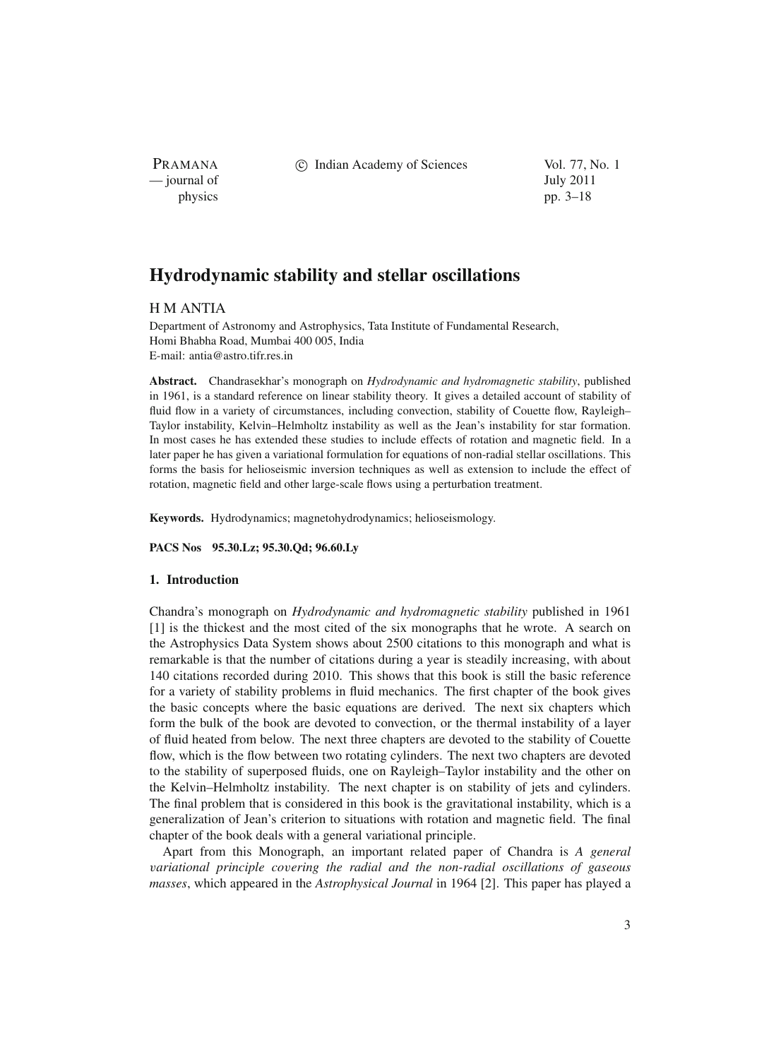PRAMANA — journal of July 2011

c Indian Academy of Sciences Vol. 77, No. 1

physics pp. 3–18

# **Hydrodynamic stability and stellar oscillations**

# H M ANTIA

Department of Astronomy and Astrophysics, Tata Institute of Fundamental Research, Homi Bhabha Road, Mumbai 400 005, India E-mail: antia@astro.tifr.res.in

**Abstract.** Chandrasekhar's monograph on *Hydrodynamic and hydromagnetic stability*, published in 1961, is a standard reference on linear stability theory. It gives a detailed account of stability of fluid flow in a variety of circumstances, including convection, stability of Couette flow, Rayleigh– Taylor instability, Kelvin–Helmholtz instability as well as the Jean's instability for star formation. In most cases he has extended these studies to include effects of rotation and magnetic field. In a later paper he has given a variational formulation for equations of non-radial stellar oscillations. This forms the basis for helioseismic inversion techniques as well as extension to include the effect of rotation, magnetic field and other large-scale flows using a perturbation treatment.

**Keywords.** Hydrodynamics; magnetohydrodynamics; helioseismology.

**PACS Nos 95.30.Lz; 95.30.Qd; 96.60.Ly**

## **1. Introduction**

Chandra's monograph on *Hydrodynamic and hydromagnetic stability* published in 1961 [1] is the thickest and the most cited of the six monographs that he wrote. A search on the Astrophysics Data System shows about 2500 citations to this monograph and what is remarkable is that the number of citations during a year is steadily increasing, with about 140 citations recorded during 2010. This shows that this book is still the basic reference for a variety of stability problems in fluid mechanics. The first chapter of the book gives the basic concepts where the basic equations are derived. The next six chapters which form the bulk of the book are devoted to convection, or the thermal instability of a layer of fluid heated from below. The next three chapters are devoted to the stability of Couette flow, which is the flow between two rotating cylinders. The next two chapters are devoted to the stability of superposed fluids, one on Rayleigh–Taylor instability and the other on the Kelvin–Helmholtz instability. The next chapter is on stability of jets and cylinders. The final problem that is considered in this book is the gravitational instability, which is a generalization of Jean's criterion to situations with rotation and magnetic field. The final chapter of the book deals with a general variational principle.

Apart from this Monograph, an important related paper of Chandra is *A general* v*ariational principle co*v*ering the radial and the non-radial oscillations of gaseous masses*, which appeared in the *Astrophysical Journal* in 1964 [2]. This paper has played a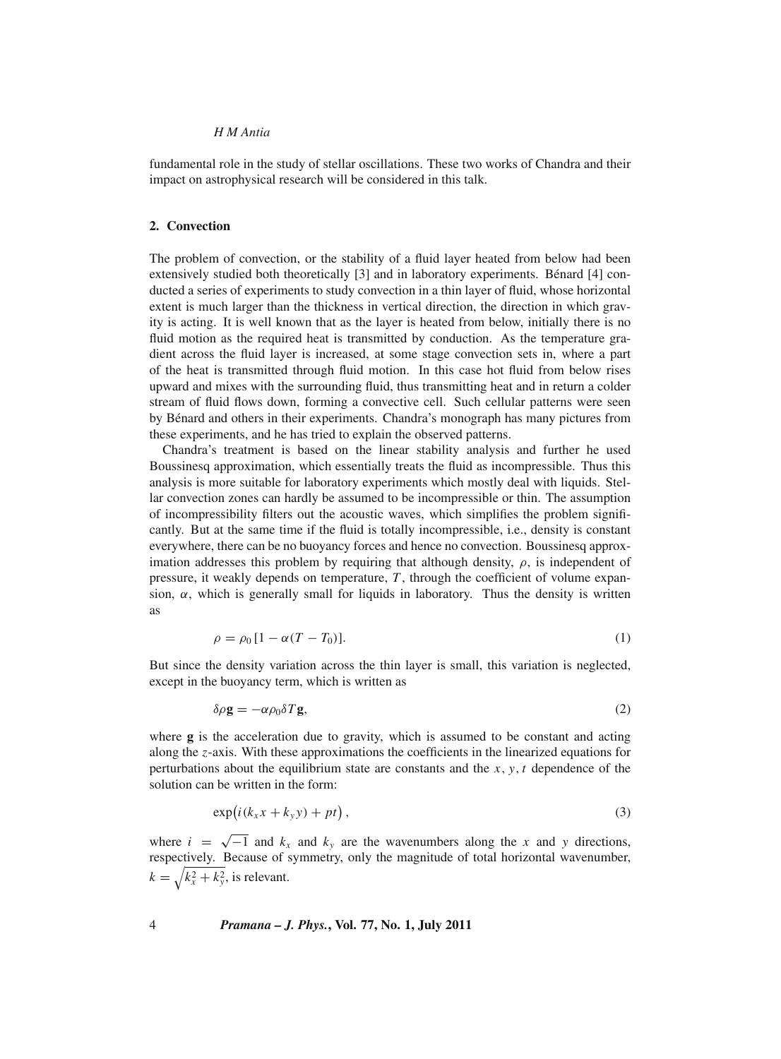fundamental role in the study of stellar oscillations. These two works of Chandra and their impact on astrophysical research will be considered in this talk.

## **2. Convection**

The problem of convection, or the stability of a fluid layer heated from below had been extensively studied both theoretically [3] and in laboratory experiments. Bénard [4] conducted a series of experiments to study convection in a thin layer of fluid, whose horizontal extent is much larger than the thickness in vertical direction, the direction in which gravity is acting. It is well known that as the layer is heated from below, initially there is no fluid motion as the required heat is transmitted by conduction. As the temperature gradient across the fluid layer is increased, at some stage convection sets in, where a part of the heat is transmitted through fluid motion. In this case hot fluid from below rises upward and mixes with the surrounding fluid, thus transmitting heat and in return a colder stream of fluid flows down, forming a convective cell. Such cellular patterns were seen by Bénard and others in their experiments. Chandra's monograph has many pictures from these experiments, and he has tried to explain the observed patterns.

Chandra's treatment is based on the linear stability analysis and further he used Boussinesq approximation, which essentially treats the fluid as incompressible. Thus this analysis is more suitable for laboratory experiments which mostly deal with liquids. Stellar convection zones can hardly be assumed to be incompressible or thin. The assumption of incompressibility filters out the acoustic waves, which simplifies the problem significantly. But at the same time if the fluid is totally incompressible, i.e., density is constant everywhere, there can be no buoyancy forces and hence no convection. Boussinesq approximation addresses this problem by requiring that although density,  $\rho$ , is independent of pressure, it weakly depends on temperature, *T* , through the coefficient of volume expansion,  $\alpha$ , which is generally small for liquids in laboratory. Thus the density is written as

$$
\rho = \rho_0 \left[ 1 - \alpha (T - T_0) \right]. \tag{1}
$$

But since the density variation across the thin layer is small, this variation is neglected, except in the buoyancy term, which is written as

$$
\delta \rho \mathbf{g} = -\alpha \rho_0 \delta T \mathbf{g},\tag{2}
$$

where **g** is the acceleration due to gravity, which is assumed to be constant and acting along the *z*-axis. With these approximations the coefficients in the linearized equations for perturbations about the equilibrium state are constants and the *x*, *y*, *t* dependence of the solution can be written in the form:

$$
\exp\left(i(k_x x + k_y y) + pt\right),\tag{3}
$$

where  $i = \sqrt{-1}$  and  $k_x$  and  $k_y$  are the wavenumbers along the x and y directions, respectively. Because of symmetry, only the magnitude of total horizontal wavenumber,  $k = \sqrt{k_x^2 + k_y^2}$ , is relevant.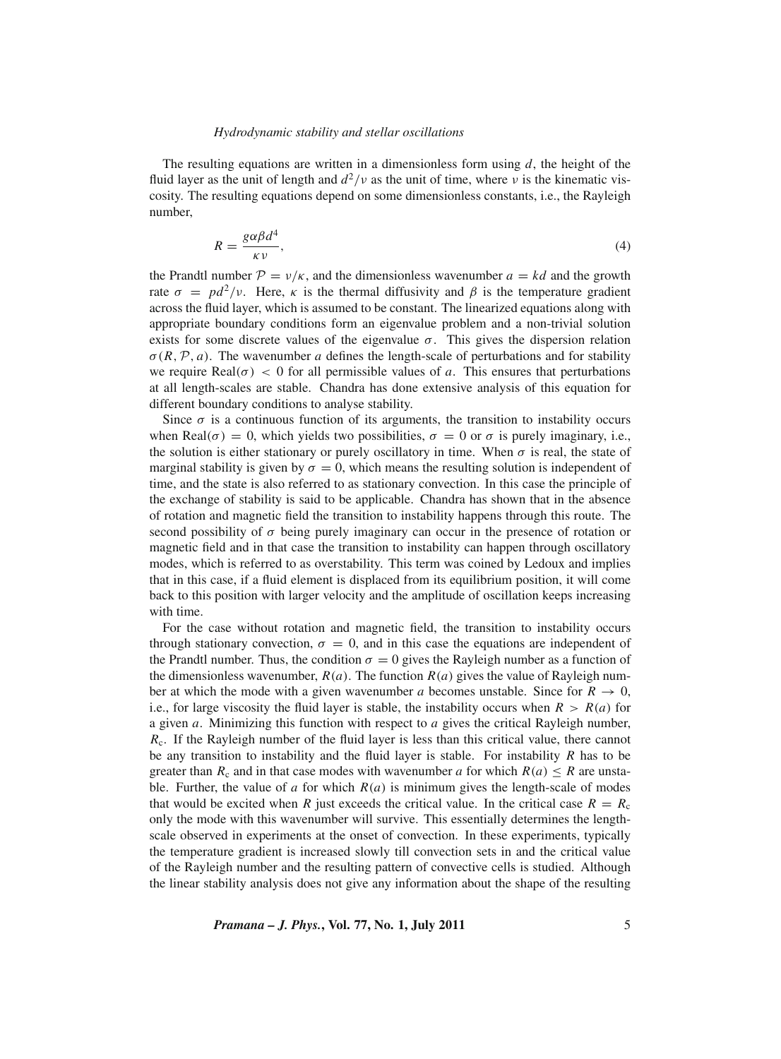The resulting equations are written in a dimensionless form using *d*, the height of the fluid layer as the unit of length and  $d^2/v$  as the unit of time, where v is the kinematic viscosity. The resulting equations depend on some dimensionless constants, i.e., the Rayleigh number,

$$
R = \frac{g\alpha\beta d^4}{\kappa v},\tag{4}
$$

the Prandtl number  $\mathcal{P} = v/\kappa$ , and the dimensionless wavenumber  $a = kd$  and the growth rate  $\sigma = pd^2/v$ . Here,  $\kappa$  is the thermal diffusivity and  $\beta$  is the temperature gradient across the fluid layer, which is assumed to be constant. The linearized equations along with appropriate boundary conditions form an eigenvalue problem and a non-trivial solution exists for some discrete values of the eigenvalue  $\sigma$ . This gives the dispersion relation  $\sigma(R, \mathcal{P}, a)$ . The wavenumber *a* defines the length-scale of perturbations and for stability we require  $\text{Real}(\sigma) < 0$  for all permissible values of *a*. This ensures that perturbations at all length-scales are stable. Chandra has done extensive analysis of this equation for different boundary conditions to analyse stability.

Since  $\sigma$  is a continuous function of its arguments, the transition to instability occurs when Real( $\sigma$ ) = 0, which yields two possibilities,  $\sigma = 0$  or  $\sigma$  is purely imaginary, i.e., the solution is either stationary or purely oscillatory in time. When  $\sigma$  is real, the state of marginal stability is given by  $\sigma = 0$ , which means the resulting solution is independent of time, and the state is also referred to as stationary convection. In this case the principle of the exchange of stability is said to be applicable. Chandra has shown that in the absence of rotation and magnetic field the transition to instability happens through this route. The second possibility of  $\sigma$  being purely imaginary can occur in the presence of rotation or magnetic field and in that case the transition to instability can happen through oscillatory modes, which is referred to as overstability. This term was coined by Ledoux and implies that in this case, if a fluid element is displaced from its equilibrium position, it will come back to this position with larger velocity and the amplitude of oscillation keeps increasing with time.

For the case without rotation and magnetic field, the transition to instability occurs through stationary convection,  $\sigma = 0$ , and in this case the equations are independent of the Prandtl number. Thus, the condition  $\sigma = 0$  gives the Rayleigh number as a function of the dimensionless wavenumber,  $R(a)$ . The function  $R(a)$  gives the value of Rayleigh number at which the mode with a given wavenumber *a* becomes unstable. Since for  $R \to 0$ , i.e., for large viscosity the fluid layer is stable, the instability occurs when  $R > R(a)$  for a given *a*. Minimizing this function with respect to *a* gives the critical Rayleigh number, *R*c. If the Rayleigh number of the fluid layer is less than this critical value, there cannot be any transition to instability and the fluid layer is stable. For instability *R* has to be greater than  $R_c$  and in that case modes with wavenumber *a* for which  $R(a) \leq R$  are unstable. Further, the value of *a* for which  $R(a)$  is minimum gives the length-scale of modes that would be excited when *R* just exceeds the critical value. In the critical case  $R = R_c$ only the mode with this wavenumber will survive. This essentially determines the lengthscale observed in experiments at the onset of convection. In these experiments, typically the temperature gradient is increased slowly till convection sets in and the critical value of the Rayleigh number and the resulting pattern of convective cells is studied. Although the linear stability analysis does not give any information about the shape of the resulting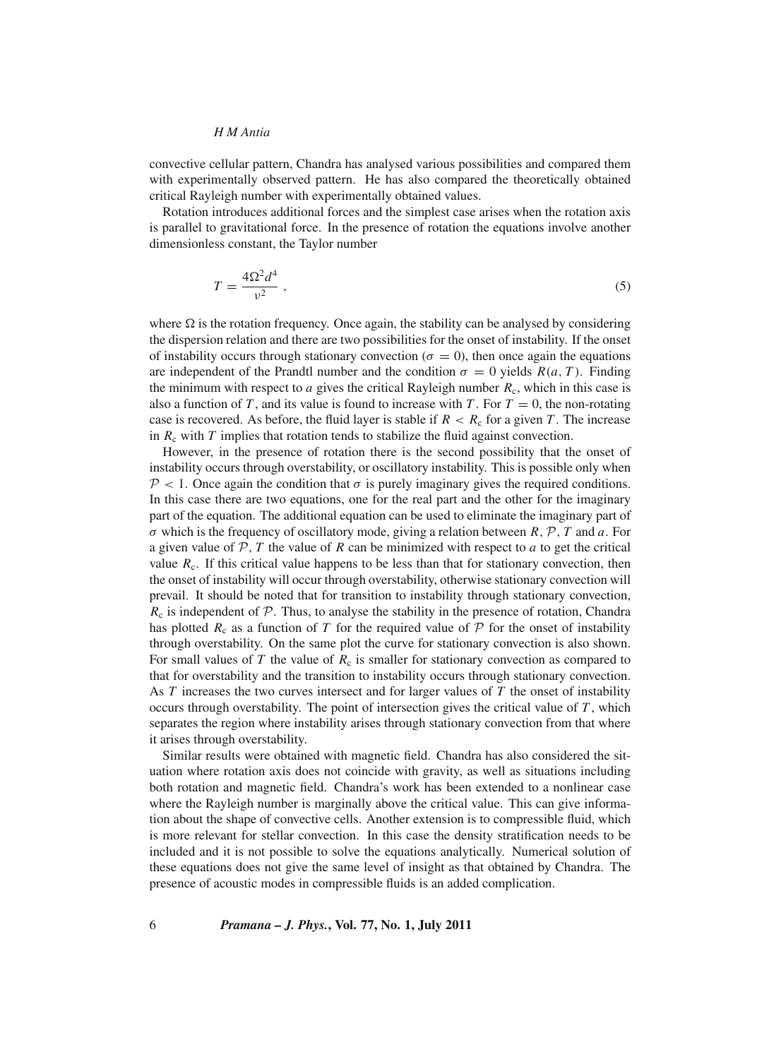convective cellular pattern, Chandra has analysed various possibilities and compared them with experimentally observed pattern. He has also compared the theoretically obtained critical Rayleigh number with experimentally obtained values.

Rotation introduces additional forces and the simplest case arises when the rotation axis is parallel to gravitational force. In the presence of rotation the equations involve another dimensionless constant, the Taylor number

$$
T = \frac{4\Omega^2 d^4}{v^2} \,,\tag{5}
$$

where  $\Omega$  is the rotation frequency. Once again, the stability can be analysed by considering the dispersion relation and there are two possibilities for the onset of instability. If the onset of instability occurs through stationary convection ( $\sigma = 0$ ), then once again the equations are independent of the Prandtl number and the condition  $\sigma = 0$  yields  $R(a, T)$ . Finding the minimum with respect to *a* gives the critical Rayleigh number  $R_c$ , which in this case is also a function of *T*, and its value is found to increase with *T*. For  $T = 0$ , the non-rotating case is recovered. As before, the fluid layer is stable if  $R < R_c$  for a given *T*. The increase in  $R_c$  with  $T$  implies that rotation tends to stabilize the fluid against convection.

However, in the presence of rotation there is the second possibility that the onset of instability occurs through overstability, or oscillatory instability. This is possible only when  $\mathcal{P}$  < 1. Once again the condition that  $\sigma$  is purely imaginary gives the required conditions. In this case there are two equations, one for the real part and the other for the imaginary part of the equation. The additional equation can be used to eliminate the imaginary part of  $\sigma$  which is the frequency of oscillatory mode, giving a relation between  $R, \mathcal{P}, T$  and  $\alpha$ . For a given value of  $P$ ,  $T$  the value of  $R$  can be minimized with respect to  $a$  to get the critical value  $R_c$ . If this critical value happens to be less than that for stationary convection, then the onset of instability will occur through overstability, otherwise stationary convection will prevail. It should be noted that for transition to instability through stationary convection,  $R_c$  is independent of  $\mathcal P$ . Thus, to analyse the stability in the presence of rotation, Chandra has plotted  $R_c$  as a function of T for the required value of  $P$  for the onset of instability through overstability. On the same plot the curve for stationary convection is also shown. For small values of  $T$  the value of  $R_c$  is smaller for stationary convection as compared to that for overstability and the transition to instability occurs through stationary convection. As *T* increases the two curves intersect and for larger values of *T* the onset of instability occurs through overstability. The point of intersection gives the critical value of *T* , which separates the region where instability arises through stationary convection from that where it arises through overstability.

Similar results were obtained with magnetic field. Chandra has also considered the situation where rotation axis does not coincide with gravity, as well as situations including both rotation and magnetic field. Chandra's work has been extended to a nonlinear case where the Rayleigh number is marginally above the critical value. This can give information about the shape of convective cells. Another extension is to compressible fluid, which is more relevant for stellar convection. In this case the density stratification needs to be included and it is not possible to solve the equations analytically. Numerical solution of these equations does not give the same level of insight as that obtained by Chandra. The presence of acoustic modes in compressible fluids is an added complication.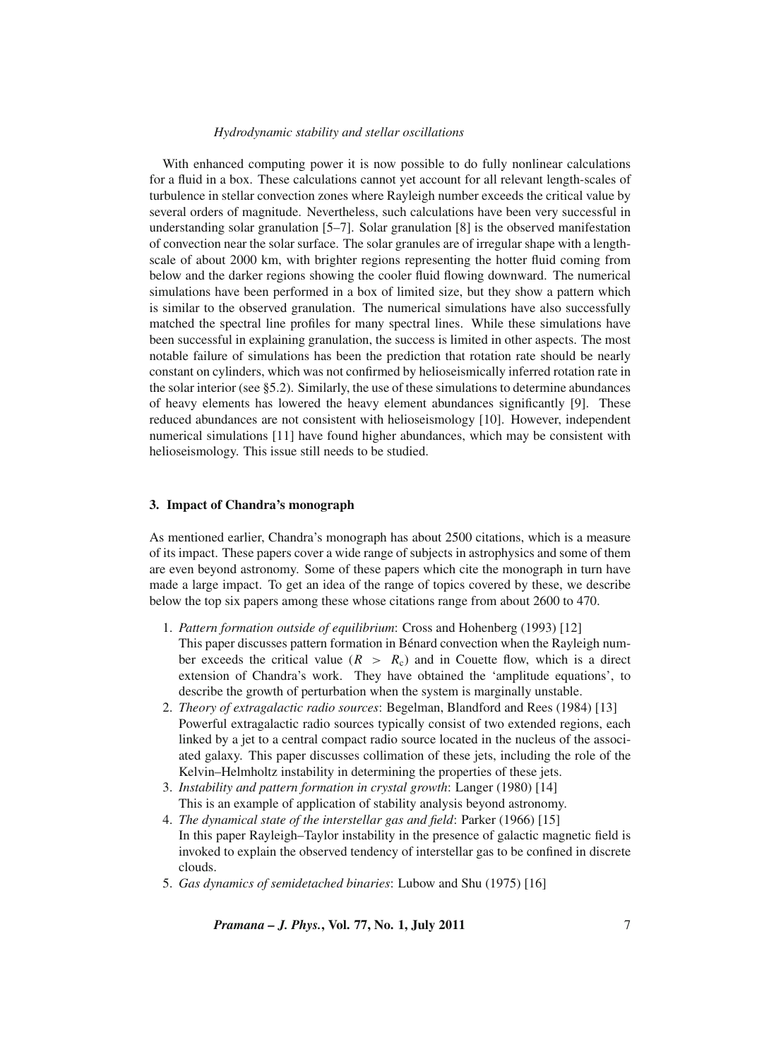With enhanced computing power it is now possible to do fully nonlinear calculations for a fluid in a box. These calculations cannot yet account for all relevant length-scales of turbulence in stellar convection zones where Rayleigh number exceeds the critical value by several orders of magnitude. Nevertheless, such calculations have been very successful in understanding solar granulation [5–7]. Solar granulation [8] is the observed manifestation of convection near the solar surface. The solar granules are of irregular shape with a lengthscale of about 2000 km, with brighter regions representing the hotter fluid coming from below and the darker regions showing the cooler fluid flowing downward. The numerical simulations have been performed in a box of limited size, but they show a pattern which is similar to the observed granulation. The numerical simulations have also successfully matched the spectral line profiles for many spectral lines. While these simulations have been successful in explaining granulation, the success is limited in other aspects. The most notable failure of simulations has been the prediction that rotation rate should be nearly constant on cylinders, which was not confirmed by helioseismically inferred rotation rate in the solar interior (see §5.2). Similarly, the use of these simulations to determine abundances of heavy elements has lowered the heavy element abundances significantly [9]. These reduced abundances are not consistent with helioseismology [10]. However, independent numerical simulations [11] have found higher abundances, which may be consistent with helioseismology. This issue still needs to be studied.

## **3. Impact of Chandra's monograph**

As mentioned earlier, Chandra's monograph has about 2500 citations, which is a measure of its impact. These papers cover a wide range of subjects in astrophysics and some of them are even beyond astronomy. Some of these papers which cite the monograph in turn have made a large impact. To get an idea of the range of topics covered by these, we describe below the top six papers among these whose citations range from about 2600 to 470.

- 1. *Pattern formation outside of equilibrium*: Cross and Hohenberg (1993) [12] This paper discusses pattern formation in Bénard convection when the Rayleigh number exceeds the critical value ( $R > R<sub>c</sub>$ ) and in Couette flow, which is a direct extension of Chandra's work. They have obtained the 'amplitude equations', to describe the growth of perturbation when the system is marginally unstable.
- 2. *Theory of extragalactic radio sources*: Begelman, Blandford and Rees (1984) [13] Powerful extragalactic radio sources typically consist of two extended regions, each linked by a jet to a central compact radio source located in the nucleus of the associated galaxy. This paper discusses collimation of these jets, including the role of the Kelvin–Helmholtz instability in determining the properties of these jets.
- 3. *Instability and pattern formation in crystal growth*: Langer (1980) [14] This is an example of application of stability analysis beyond astronomy.
- 4. *The dynamical state of the interstellar gas and field*: Parker (1966) [15] In this paper Rayleigh–Taylor instability in the presence of galactic magnetic field is invoked to explain the observed tendency of interstellar gas to be confined in discrete clouds.
- 5. *Gas dynamics of semidetached binaries*: Lubow and Shu (1975) [16]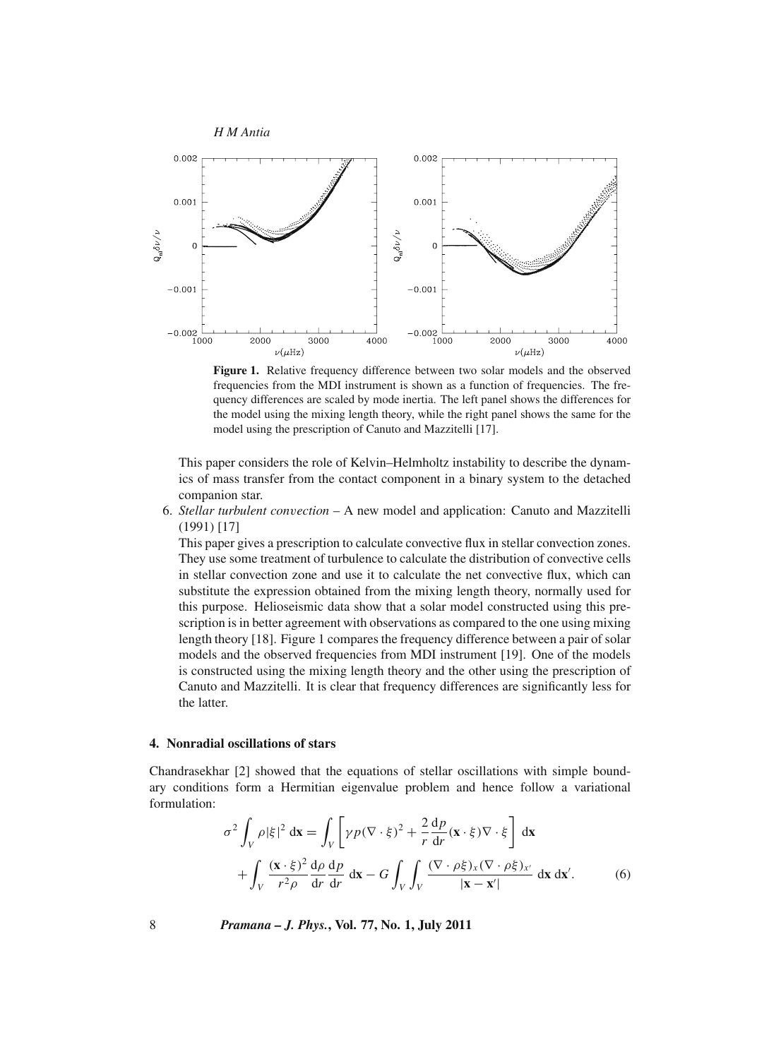

**Figure 1.** Relative frequency difference between two solar models and the observed frequencies from the MDI instrument is shown as a function of frequencies. The frequency differences are scaled by mode inertia. The left panel shows the differences for the model using the mixing length theory, while the right panel shows the same for the model using the prescription of Canuto and Mazzitelli [17].

This paper considers the role of Kelvin–Helmholtz instability to describe the dynamics of mass transfer from the contact component in a binary system to the detached companion star.

6. *Stellar turbulent con*v*ection* – A new model and application: Canuto and Mazzitelli (1991) [17]

This paper gives a prescription to calculate convective flux in stellar convection zones. They use some treatment of turbulence to calculate the distribution of convective cells in stellar convection zone and use it to calculate the net convective flux, which can substitute the expression obtained from the mixing length theory, normally used for this purpose. Helioseismic data show that a solar model constructed using this prescription is in better agreement with observations as compared to the one using mixing length theory [18]. Figure 1 compares the frequency difference between a pair of solar models and the observed frequencies from MDI instrument [19]. One of the models is constructed using the mixing length theory and the other using the prescription of Canuto and Mazzitelli. It is clear that frequency differences are significantly less for the latter.

## **4. Nonradial oscillations of stars**

Chandrasekhar [2] showed that the equations of stellar oscillations with simple boundary conditions form a Hermitian eigenvalue problem and hence follow a variational formulation:

$$
\sigma^2 \int_V \rho |\xi|^2 dx = \int_V \left[ \gamma p (\nabla \cdot \xi)^2 + \frac{2}{r} \frac{dp}{dr} (x \cdot \xi) \nabla \cdot \xi \right] dx
$$
  
+ 
$$
\int_V \frac{(x \cdot \xi)^2}{r^2 \rho} \frac{d\rho}{dr} \frac{dp}{dr} dx - G \int_V \int_V \frac{(\nabla \cdot \rho \xi)_x (\nabla \cdot \rho \xi)_x}{|\mathbf{x} - \mathbf{x}'|} dx dx'.
$$
 (6)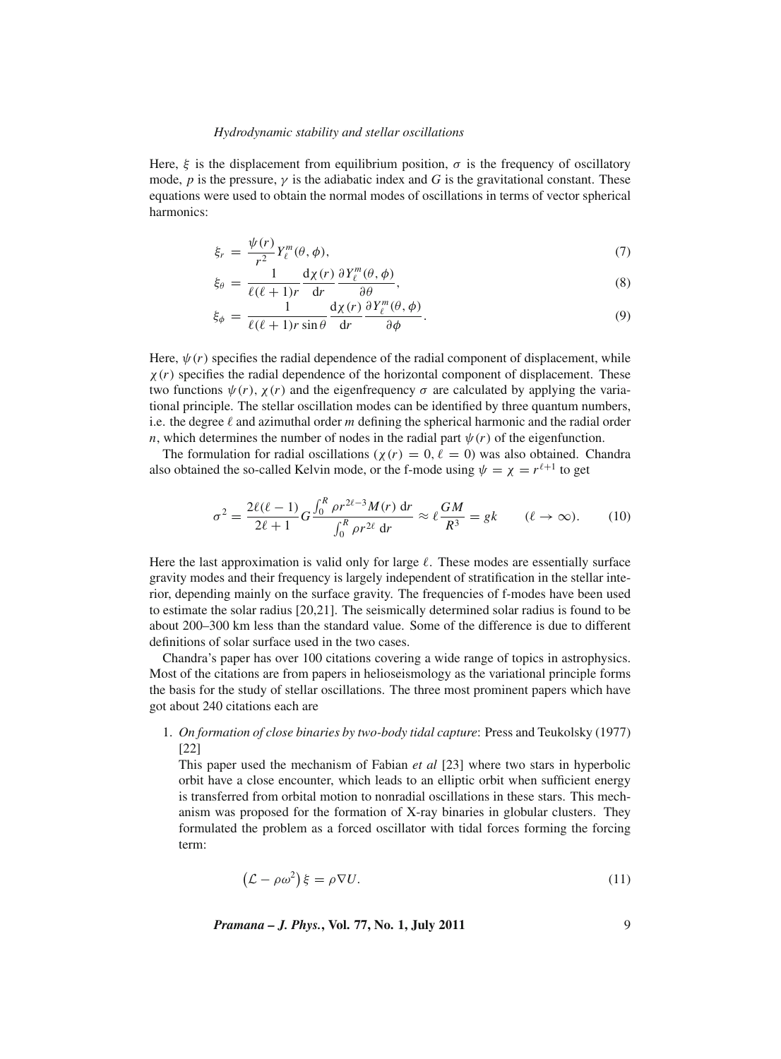Here,  $\xi$  is the displacement from equilibrium position,  $\sigma$  is the frequency of oscillatory mode, *p* is the pressure,  $\gamma$  is the adiabatic index and *G* is the gravitational constant. These equations were used to obtain the normal modes of oscillations in terms of vector spherical harmonics:

$$
\xi_r = \frac{\psi(r)}{r^2} Y_\ell^m(\theta, \phi),\tag{7}
$$

$$
\xi_{\theta} = \frac{1}{\ell(\ell+1)r} \frac{d\chi(r)}{dr} \frac{\partial Y_{\ell}^{m}(\theta,\phi)}{\partial \theta},
$$
\n(8)

$$
\xi_{\phi} = \frac{1}{\ell(\ell+1)r\sin\theta} \frac{d\chi(r)}{dr} \frac{\partial Y_{\ell}^{m}(\theta,\phi)}{\partial \phi}.
$$
\n(9)

Here,  $\psi(r)$  specifies the radial dependence of the radial component of displacement, while  $\chi(r)$  specifies the radial dependence of the horizontal component of displacement. These two functions  $\psi(r)$ ,  $\chi(r)$  and the eigenfrequency  $\sigma$  are calculated by applying the variational principle. The stellar oscillation modes can be identified by three quantum numbers, i.e. the degree  $\ell$  and azimuthal order *m* defining the spherical harmonic and the radial order *n*, which determines the number of nodes in the radial part  $\psi(r)$  of the eigenfunction.

The formulation for radial oscillations ( $\chi(r) = 0, \ell = 0$ ) was also obtained. Chandra also obtained the so-called Kelvin mode, or the f-mode using  $\psi = \chi = r^{\ell+1}$  to get

$$
\sigma^2 = \frac{2\ell(\ell-1)}{2\ell+1} G \frac{\int_0^R \rho r^{2\ell-3} M(r) \, dr}{\int_0^R \rho r^{2\ell} \, dr} \approx \ell \frac{GM}{R^3} = gk \qquad (\ell \to \infty). \tag{10}
$$

Here the last approximation is valid only for large  $\ell$ . These modes are essentially surface gravity modes and their frequency is largely independent of stratification in the stellar interior, depending mainly on the surface gravity. The frequencies of f-modes have been used to estimate the solar radius [20,21]. The seismically determined solar radius is found to be about 200–300 km less than the standard value. Some of the difference is due to different definitions of solar surface used in the two cases.

Chandra's paper has over 100 citations covering a wide range of topics in astrophysics. Most of the citations are from papers in helioseismology as the variational principle forms the basis for the study of stellar oscillations. The three most prominent papers which have got about 240 citations each are

1. *On formation of close binaries by two-body tidal capture*: Press and Teukolsky (1977) [22]

This paper used the mechanism of Fabian *et al* [23] where two stars in hyperbolic orbit have a close encounter, which leads to an elliptic orbit when sufficient energy is transferred from orbital motion to nonradial oscillations in these stars. This mechanism was proposed for the formation of X-ray binaries in globular clusters. They formulated the problem as a forced oscillator with tidal forces forming the forcing term:

$$
\left(\mathcal{L} - \rho \omega^2\right)\xi = \rho \nabla U. \tag{11}
$$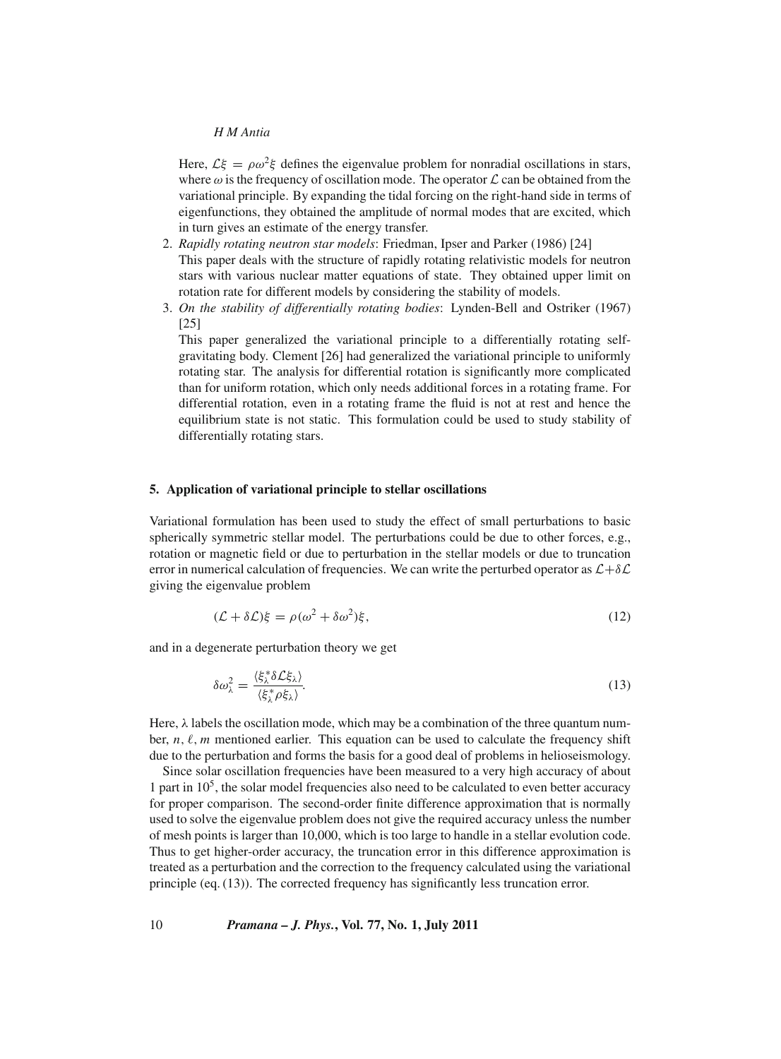Here,  $\mathcal{L}\xi = \rho \omega^2 \xi$  defines the eigenvalue problem for nonradial oscillations in stars, where  $\omega$  is the frequency of oscillation mode. The operator  $\mathcal L$  can be obtained from the variational principle. By expanding the tidal forcing on the right-hand side in terms of eigenfunctions, they obtained the amplitude of normal modes that are excited, which in turn gives an estimate of the energy transfer.

- 2. *Rapidly rotating neutron star models*: Friedman, Ipser and Parker (1986) [24] This paper deals with the structure of rapidly rotating relativistic models for neutron stars with various nuclear matter equations of state. They obtained upper limit on rotation rate for different models by considering the stability of models.
- 3. *On the stability of differentially rotating bodies*: Lynden-Bell and Ostriker (1967) [25]

This paper generalized the variational principle to a differentially rotating selfgravitating body. Clement [26] had generalized the variational principle to uniformly rotating star. The analysis for differential rotation is significantly more complicated than for uniform rotation, which only needs additional forces in a rotating frame. For differential rotation, even in a rotating frame the fluid is not at rest and hence the equilibrium state is not static. This formulation could be used to study stability of differentially rotating stars.

#### **5. Application of variational principle to stellar oscillations**

Variational formulation has been used to study the effect of small perturbations to basic spherically symmetric stellar model. The perturbations could be due to other forces, e.g., rotation or magnetic field or due to perturbation in the stellar models or due to truncation error in numerical calculation of frequencies. We can write the perturbed operator as  $\mathcal{L}+\delta\mathcal{L}$ giving the eigenvalue problem

$$
(\mathcal{L} + \delta \mathcal{L})\xi = \rho(\omega^2 + \delta \omega^2)\xi,\tag{12}
$$

and in a degenerate perturbation theory we get

$$
\delta\omega_{\lambda}^{2} = \frac{\langle \xi_{\lambda}^{*} \delta \mathcal{L} \xi_{\lambda} \rangle}{\langle \xi_{\lambda}^{*} \rho \xi_{\lambda} \rangle}.
$$
\n(13)

Here,  $\lambda$  labels the oscillation mode, which may be a combination of the three quantum number,  $n, \ell, m$  mentioned earlier. This equation can be used to calculate the frequency shift due to the perturbation and forms the basis for a good deal of problems in helioseismology.

Since solar oscillation frequencies have been measured to a very high accuracy of about 1 part in  $10<sup>5</sup>$ , the solar model frequencies also need to be calculated to even better accuracy for proper comparison. The second-order finite difference approximation that is normally used to solve the eigenvalue problem does not give the required accuracy unless the number of mesh points is larger than 10,000, which is too large to handle in a stellar evolution code. Thus to get higher-order accuracy, the truncation error in this difference approximation is treated as a perturbation and the correction to the frequency calculated using the variational principle (eq. (13)). The corrected frequency has significantly less truncation error.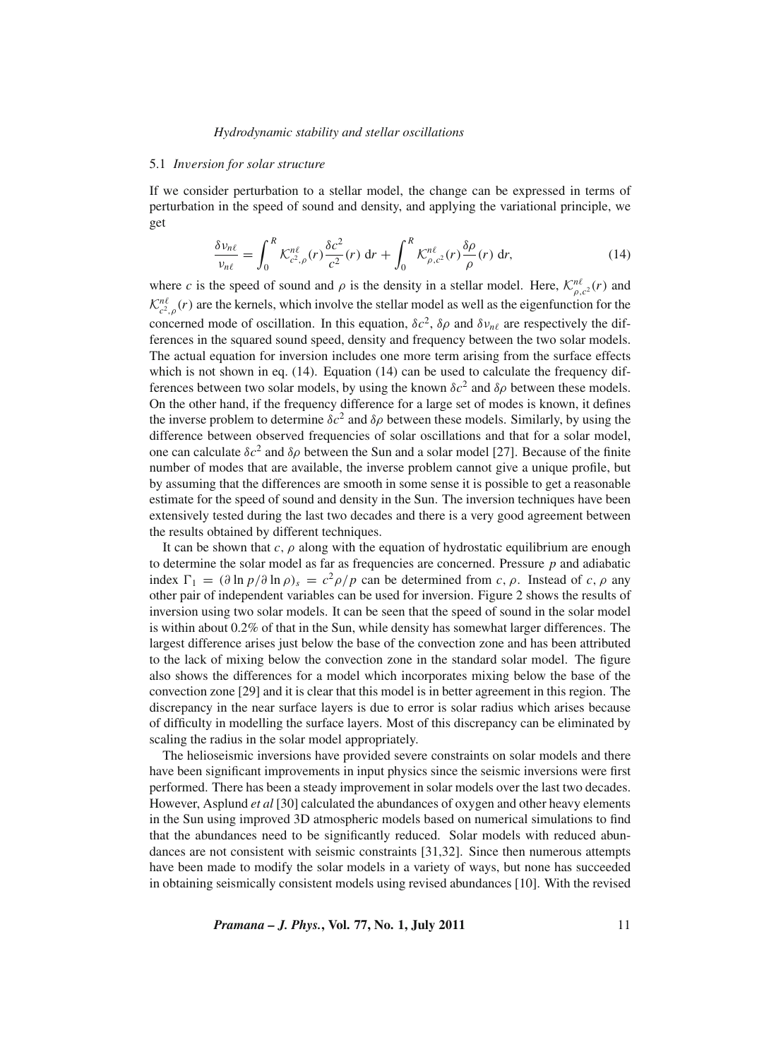### 5.1 *In*v*ersion for solar structure*

If we consider perturbation to a stellar model, the change can be expressed in terms of perturbation in the speed of sound and density, and applying the variational principle, we get

$$
\frac{\delta \nu_{n\ell}}{\nu_{n\ell}} = \int_0^R \mathcal{K}_{c^2,\rho}^{n\ell}(r) \frac{\delta c^2}{c^2}(r) \, \mathrm{d}r + \int_0^R \mathcal{K}_{\rho,c^2}^{n\ell}(r) \frac{\delta \rho}{\rho}(r) \, \mathrm{d}r,\tag{14}
$$

where *c* is the speed of sound and  $\rho$  is the density in a stellar model. Here,  $\mathcal{K}^{n\ell}_{\rho,c^2}(r)$  and  $\mathcal{K}^{n\ell}_{c^2,\rho}(r)$  are the kernels, which involve the stellar model as well as the eigenfunction for the concerned mode of oscillation. In this equation,  $\delta c^2$ ,  $\delta \rho$  and  $\delta v_{n\ell}$  are respectively the differences in the squared sound speed, density and frequency between the two solar models. The actual equation for inversion includes one more term arising from the surface effects which is not shown in eq.  $(14)$ . Equation  $(14)$  can be used to calculate the frequency differences between two solar models, by using the known  $\delta c^2$  and  $\delta \rho$  between these models. On the other hand, if the frequency difference for a large set of modes is known, it defines the inverse problem to determine  $\delta c^2$  and  $\delta \rho$  between these models. Similarly, by using the difference between observed frequencies of solar oscillations and that for a solar model, one can calculate  $\delta c^2$  and  $\delta \rho$  between the Sun and a solar model [27]. Because of the finite number of modes that are available, the inverse problem cannot give a unique profile, but by assuming that the differences are smooth in some sense it is possible to get a reasonable estimate for the speed of sound and density in the Sun. The inversion techniques have been extensively tested during the last two decades and there is a very good agreement between the results obtained by different techniques.

It can be shown that  $c, \rho$  along with the equation of hydrostatic equilibrium are enough to determine the solar model as far as frequencies are concerned. Pressure *p* and adiabatic index  $\Gamma_1 = (\partial \ln p / \partial \ln \rho)_s = c^2 \rho / p$  can be determined from *c*,  $\rho$ . Instead of *c*,  $\rho$  any other pair of independent variables can be used for inversion. Figure 2 shows the results of inversion using two solar models. It can be seen that the speed of sound in the solar model is within about 0.2% of that in the Sun, while density has somewhat larger differences. The largest difference arises just below the base of the convection zone and has been attributed to the lack of mixing below the convection zone in the standard solar model. The figure also shows the differences for a model which incorporates mixing below the base of the convection zone [29] and it is clear that this model is in better agreement in this region. The discrepancy in the near surface layers is due to error is solar radius which arises because of difficulty in modelling the surface layers. Most of this discrepancy can be eliminated by scaling the radius in the solar model appropriately.

The helioseismic inversions have provided severe constraints on solar models and there have been significant improvements in input physics since the seismic inversions were first performed. There has been a steady improvement in solar models over the last two decades. However, Asplund *et al* [30] calculated the abundances of oxygen and other heavy elements in the Sun using improved 3D atmospheric models based on numerical simulations to find that the abundances need to be significantly reduced. Solar models with reduced abundances are not consistent with seismic constraints [31,32]. Since then numerous attempts have been made to modify the solar models in a variety of ways, but none has succeeded in obtaining seismically consistent models using revised abundances [10]. With the revised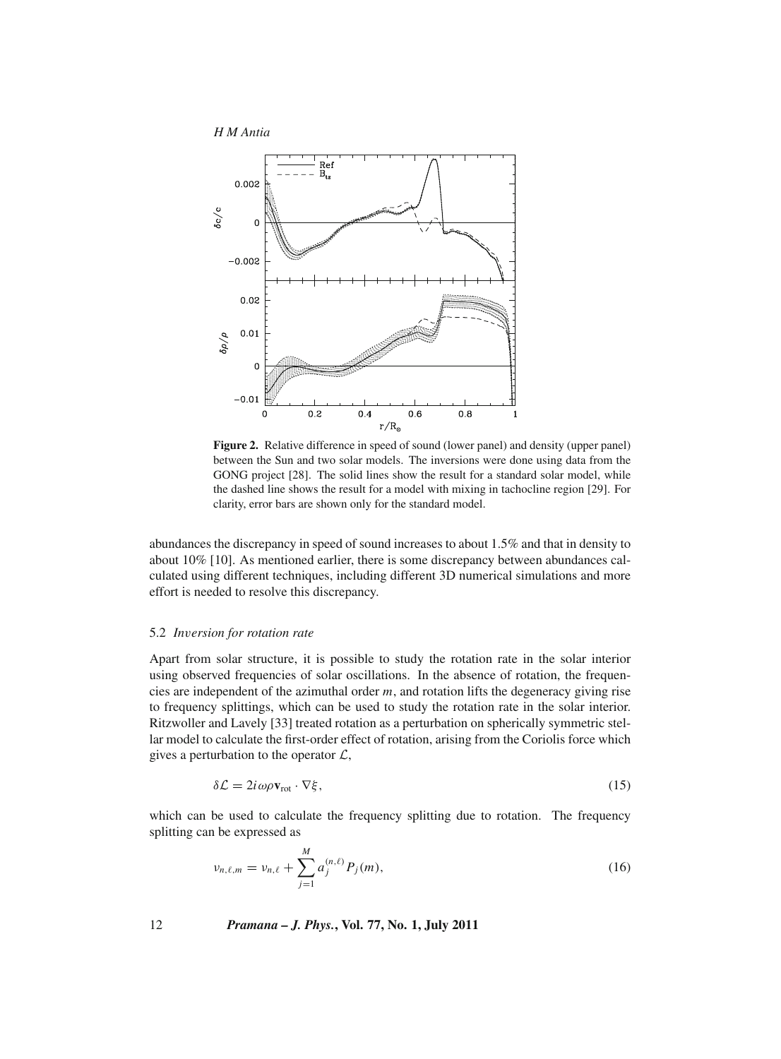

**Figure 2.** Relative difference in speed of sound (lower panel) and density (upper panel) between the Sun and two solar models. The inversions were done using data from the GONG project [28]. The solid lines show the result for a standard solar model, while the dashed line shows the result for a model with mixing in tachocline region [29]. For clarity, error bars are shown only for the standard model.

abundances the discrepancy in speed of sound increases to about 1.5% and that in density to about 10% [10]. As mentioned earlier, there is some discrepancy between abundances calculated using different techniques, including different 3D numerical simulations and more effort is needed to resolve this discrepancy.

#### 5.2 *In*v*ersion for rotation rate*

Apart from solar structure, it is possible to study the rotation rate in the solar interior using observed frequencies of solar oscillations. In the absence of rotation, the frequencies are independent of the azimuthal order *m*, and rotation lifts the degeneracy giving rise to frequency splittings, which can be used to study the rotation rate in the solar interior. Ritzwoller and Lavely [33] treated rotation as a perturbation on spherically symmetric stellar model to calculate the first-order effect of rotation, arising from the Coriolis force which gives a perturbation to the operator  $\mathcal{L}$ ,

$$
\delta \mathcal{L} = 2i \omega \rho \mathbf{v}_{\text{rot}} \cdot \nabla \xi, \tag{15}
$$

which can be used to calculate the frequency splitting due to rotation. The frequency splitting can be expressed as

$$
\nu_{n,\ell,m} = \nu_{n,\ell} + \sum_{j=1}^{M} a_j^{(n,\ell)} P_j(m), \qquad (16)
$$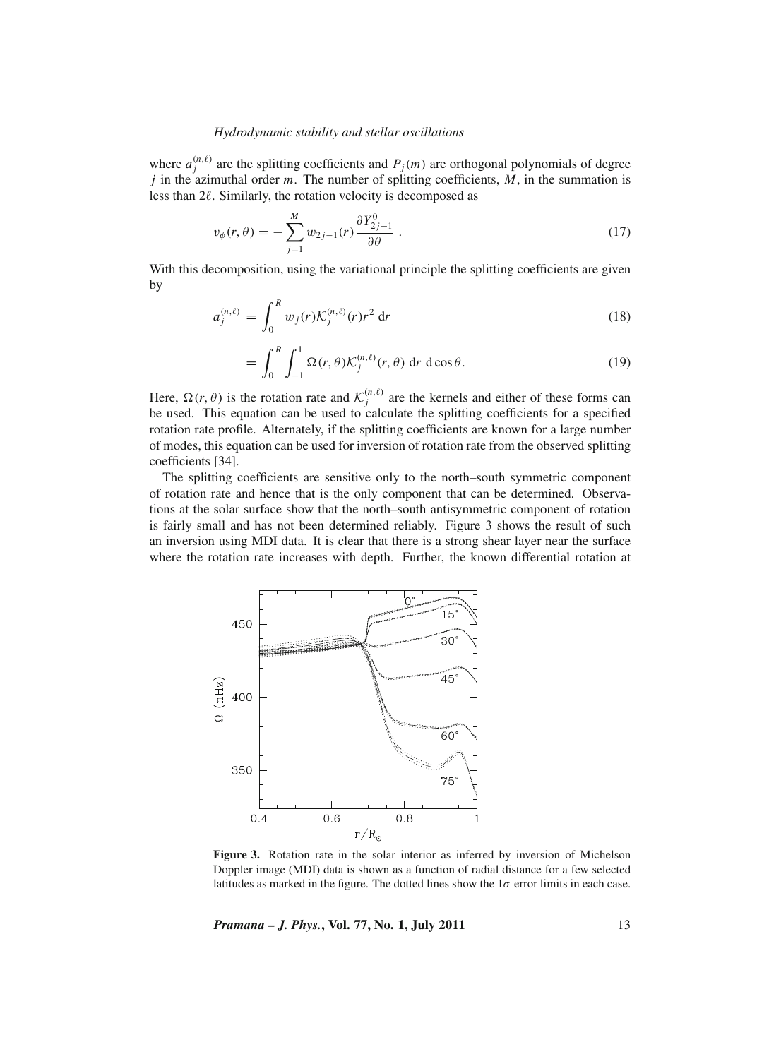where  $a_j^{(n,\ell)}$  are the splitting coefficients and  $P_j(m)$  are orthogonal polynomials of degree *j* in the azimuthal order *m*. The number of splitting coefficients, *M*, in the summation is less than 2 . Similarly, the rotation velocity is decomposed as

$$
v_{\phi}(r,\theta) = -\sum_{j=1}^{M} w_{2j-1}(r) \frac{\partial Y_{2j-1}^{0}}{\partial \theta}.
$$
\n(17)

With this decomposition, using the variational principle the splitting coefficients are given by

$$
a_j^{(n,\ell)} = \int_0^R w_j(r) \mathcal{K}_j^{(n,\ell)}(r) r^2 \, \mathrm{d}r \tag{18}
$$

$$
= \int_0^R \int_{-1}^1 \Omega(r,\theta) \mathcal{K}_j^{(n,\ell)}(r,\theta) \, dr \, d\cos\theta. \tag{19}
$$

Here,  $\Omega(r, \theta)$  is the rotation rate and  $\mathcal{K}^{(n,\ell)}_j$  are the kernels and either of these forms can be used. This equation can be used to calculate the splitting coefficients for a specified rotation rate profile. Alternately, if the splitting coefficients are known for a large number of modes, this equation can be used for inversion of rotation rate from the observed splitting coefficients [34].

The splitting coefficients are sensitive only to the north–south symmetric component of rotation rate and hence that is the only component that can be determined. Observations at the solar surface show that the north–south antisymmetric component of rotation is fairly small and has not been determined reliably. Figure 3 shows the result of such an inversion using MDI data. It is clear that there is a strong shear layer near the surface where the rotation rate increases with depth. Further, the known differential rotation at



**Figure 3.** Rotation rate in the solar interior as inferred by inversion of Michelson Doppler image (MDI) data is shown as a function of radial distance for a few selected latitudes as marked in the figure. The dotted lines show the  $1\sigma$  error limits in each case.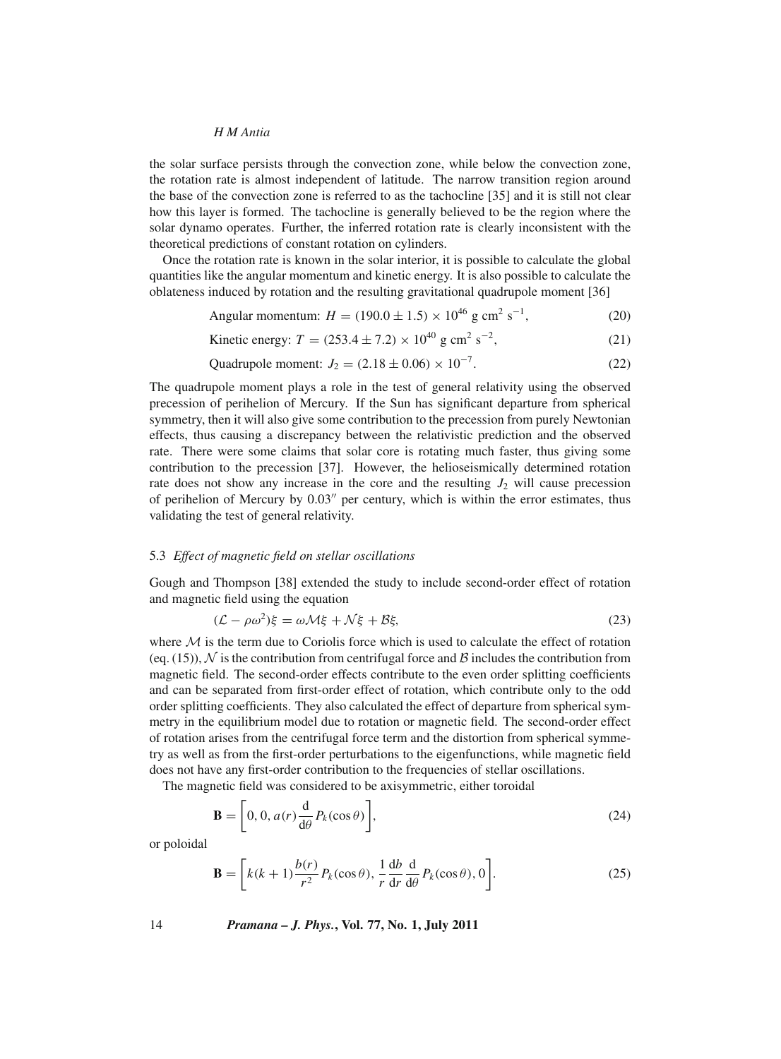the solar surface persists through the convection zone, while below the convection zone, the rotation rate is almost independent of latitude. The narrow transition region around the base of the convection zone is referred to as the tachocline [35] and it is still not clear how this layer is formed. The tachocline is generally believed to be the region where the solar dynamo operates. Further, the inferred rotation rate is clearly inconsistent with the theoretical predictions of constant rotation on cylinders.

Once the rotation rate is known in the solar interior, it is possible to calculate the global quantities like the angular momentum and kinetic energy. It is also possible to calculate the oblateness induced by rotation and the resulting gravitational quadrupole moment [36]

Angular momentum: 
$$
H = (190.0 \pm 1.5) \times 10^{46} \text{ g cm}^2 \text{ s}^{-1},
$$
 (20)

Kinetic energy: 
$$
T = (253.4 \pm 7.2) \times 10^{40} \text{ g cm}^2 \text{ s}^{-2}
$$
, (21)

Quadrupole moment: 
$$
J_2 = (2.18 \pm 0.06) \times 10^{-7}
$$
. (22)

The quadrupole moment plays a role in the test of general relativity using the observed precession of perihelion of Mercury. If the Sun has significant departure from spherical symmetry, then it will also give some contribution to the precession from purely Newtonian effects, thus causing a discrepancy between the relativistic prediction and the observed rate. There were some claims that solar core is rotating much faster, thus giving some contribution to the precession [37]. However, the helioseismically determined rotation rate does not show any increase in the core and the resulting  $J_2$  will cause precession of perihelion of Mercury by  $0.03''$  per century, which is within the error estimates, thus validating the test of general relativity.

## 5.3 *Effect of magnetic field on stellar oscillations*

Gough and Thompson [38] extended the study to include second-order effect of rotation and magnetic field using the equation

$$
(\mathcal{L} - \rho \omega^2)\xi = \omega \mathcal{M}\xi + \mathcal{N}\xi + \mathcal{B}\xi,\tag{23}
$$

where  $M$  is the term due to Coriolis force which is used to calculate the effect of rotation (eq. (15)),  $\mathcal N$  is the contribution from centrifugal force and  $\mathcal B$  includes the contribution from magnetic field. The second-order effects contribute to the even order splitting coefficients and can be separated from first-order effect of rotation, which contribute only to the odd order splitting coefficients. They also calculated the effect of departure from spherical symmetry in the equilibrium model due to rotation or magnetic field. The second-order effect of rotation arises from the centrifugal force term and the distortion from spherical symmetry as well as from the first-order perturbations to the eigenfunctions, while magnetic field does not have any first-order contribution to the frequencies of stellar oscillations.

The magnetic field was considered to be axisymmetric, either toroidal

$$
\mathbf{B} = \left[0, 0, a(r)\frac{d}{d\theta}P_k(\cos\theta)\right],\tag{24}
$$

or poloidal

$$
\mathbf{B} = \left[ k(k+1) \frac{b(r)}{r^2} P_k(\cos \theta), \frac{1}{r} \frac{db}{dr} \frac{d}{d\theta} P_k(\cos \theta), 0 \right].
$$
 (25)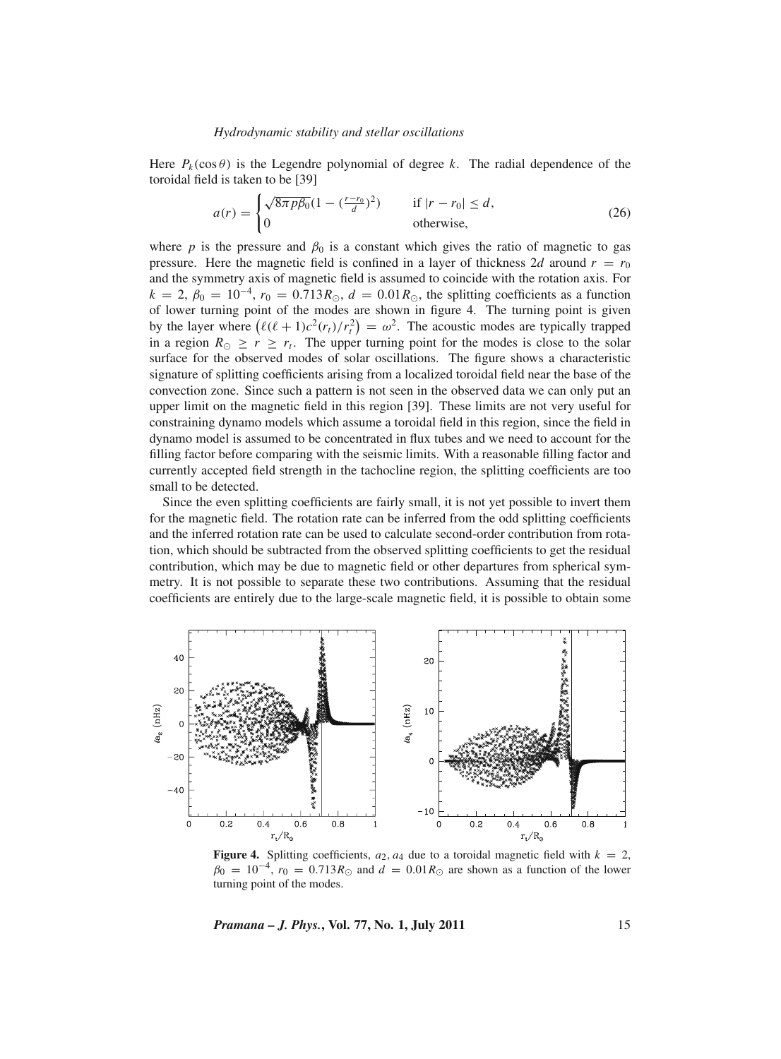Here  $P_k(\cos \theta)$  is the Legendre polynomial of degree k. The radial dependence of the toroidal field is taken to be [39]

$$
a(r) = \begin{cases} \sqrt{8\pi p\beta_0} (1 - \left(\frac{r - r_0}{d}\right)^2) & \text{if } |r - r_0| \le d, \\ 0 & \text{otherwise,} \end{cases}
$$
 (26)

where *p* is the pressure and  $\beta_0$  is a constant which gives the ratio of magnetic to gas pressure. Here the magnetic field is confined in a layer of thickness 2*d* around  $r = r_0$ and the symmetry axis of magnetic field is assumed to coincide with the rotation axis. For  $k = 2$ ,  $\beta_0 = 10^{-4}$ ,  $r_0 = 0.713 R_{\odot}$ ,  $d = 0.01 R_{\odot}$ , the splitting coefficients as a function of lower turning point of the modes are shown in figure 4. The turning point is given by the layer where  $(\ell(\ell+1)c^2(r_t)/r_t^2) = \omega^2$ . The acoustic modes are typically trapped in a region  $R_{\odot} \geq r \geq r_t$ . The upper turning point for the modes is close to the solar surface for the observed modes of solar oscillations. The figure shows a characteristic signature of splitting coefficients arising from a localized toroidal field near the base of the convection zone. Since such a pattern is not seen in the observed data we can only put an upper limit on the magnetic field in this region [39]. These limits are not very useful for constraining dynamo models which assume a toroidal field in this region, since the field in dynamo model is assumed to be concentrated in flux tubes and we need to account for the filling factor before comparing with the seismic limits. With a reasonable filling factor and currently accepted field strength in the tachocline region, the splitting coefficients are too small to be detected.

Since the even splitting coefficients are fairly small, it is not yet possible to invert them for the magnetic field. The rotation rate can be inferred from the odd splitting coefficients and the inferred rotation rate can be used to calculate second-order contribution from rotation, which should be subtracted from the observed splitting coefficients to get the residual contribution, which may be due to magnetic field or other departures from spherical symmetry. It is not possible to separate these two contributions. Assuming that the residual coefficients are entirely due to the large-scale magnetic field, it is possible to obtain some



**Figure 4.** Splitting coefficients,  $a_2$ ,  $a_4$  due to a toroidal magnetic field with  $k = 2$ ,  $\beta_0 = 10^{-4}$ ,  $r_0 = 0.713 R_{\odot}$  and  $d = 0.01 R_{\odot}$  are shown as a function of the lower turning point of the modes.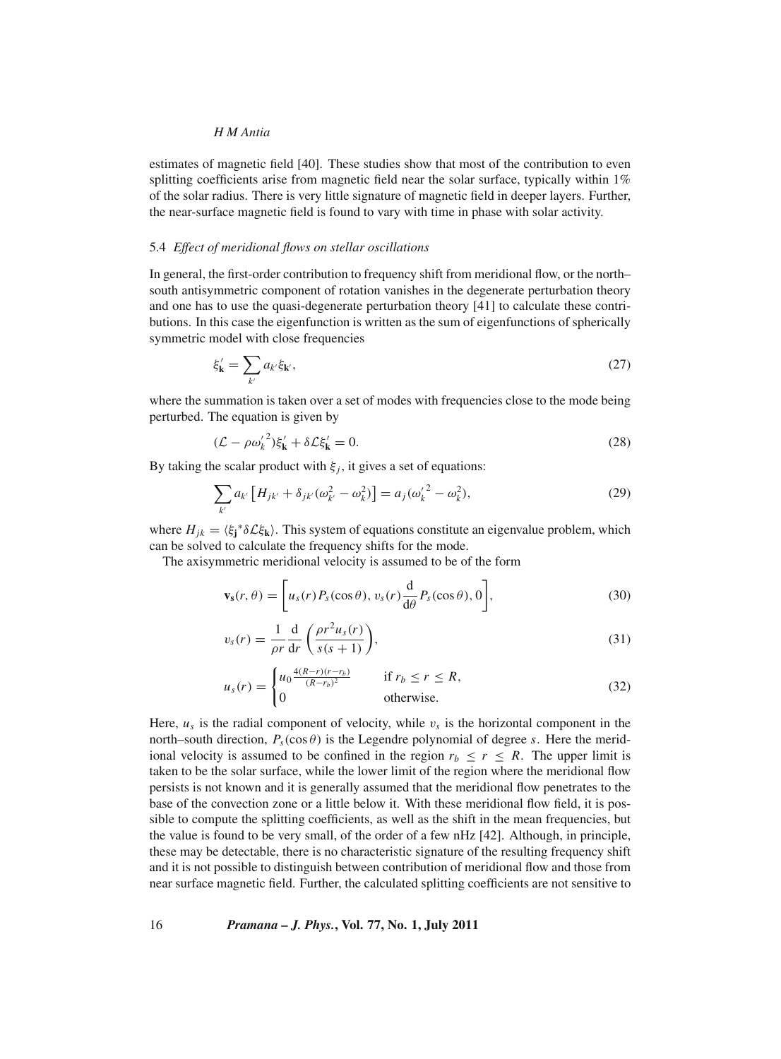estimates of magnetic field [40]. These studies show that most of the contribution to even splitting coefficients arise from magnetic field near the solar surface, typically within 1% of the solar radius. There is very little signature of magnetic field in deeper layers. Further, the near-surface magnetic field is found to vary with time in phase with solar activity.

#### 5.4 *Effect of meridional flows on stellar oscillations*

In general, the first-order contribution to frequency shift from meridional flow, or the north– south antisymmetric component of rotation vanishes in the degenerate perturbation theory and one has to use the quasi-degenerate perturbation theory [41] to calculate these contributions. In this case the eigenfunction is written as the sum of eigenfunctions of spherically symmetric model with close frequencies

$$
\xi'_{\mathbf{k}} = \sum_{k'} a_{k'} \xi_{\mathbf{k'}},\tag{27}
$$

where the summation is taken over a set of modes with frequencies close to the mode being perturbed. The equation is given by

$$
(\mathcal{L} - \rho \omega_k^2) \xi_{\mathbf{k}}' + \delta \mathcal{L} \xi_{\mathbf{k}}' = 0. \tag{28}
$$

By taking the scalar product with  $\xi_i$ , it gives a set of equations:

$$
\sum_{k'} a_{k'} \left[ H_{jk'} + \delta_{jk'} (\omega_{k'}^2 - \omega_k^2) \right] = a_j (\omega_k'^2 - \omega_k^2), \tag{29}
$$

where  $H_{jk} = \langle \xi_j^* \delta \mathcal{L} \xi_k \rangle$ . This system of equations constitute an eigenvalue problem, which can be solved to calculate the frequency shifts for the mode.

The axisymmetric meridional velocity is assumed to be of the form

$$
\mathbf{v}_s(r,\theta) = \left[ u_s(r) P_s(\cos\theta), v_s(r) \frac{d}{d\theta} P_s(\cos\theta), 0 \right],
$$
\n(30)

$$
v_s(r) = \frac{1}{\rho r} \frac{d}{dr} \left( \frac{\rho r^2 u_s(r)}{s(s+1)} \right),\tag{31}
$$

$$
u_s(r) = \begin{cases} u_0 \frac{4(R-r)(r-r_b)}{(R-r_b)^2} & \text{if } r_b \le r \le R, \\ 0 & \text{otherwise.} \end{cases}
$$
 (32)

Here,  $u_s$  is the radial component of velocity, while  $v_s$  is the horizontal component in the north–south direction,  $P_s(\cos \theta)$  is the Legendre polynomial of degree *s*. Here the meridional velocity is assumed to be confined in the region  $r_b \le r \le R$ . The upper limit is taken to be the solar surface, while the lower limit of the region where the meridional flow persists is not known and it is generally assumed that the meridional flow penetrates to the base of the convection zone or a little below it. With these meridional flow field, it is possible to compute the splitting coefficients, as well as the shift in the mean frequencies, but the value is found to be very small, of the order of a few nHz [42]. Although, in principle, these may be detectable, there is no characteristic signature of the resulting frequency shift and it is not possible to distinguish between contribution of meridional flow and those from near surface magnetic field. Further, the calculated splitting coefficients are not sensitive to

16 *Pramana – J. Phys.***, Vol. 77, No. 1, July 2011**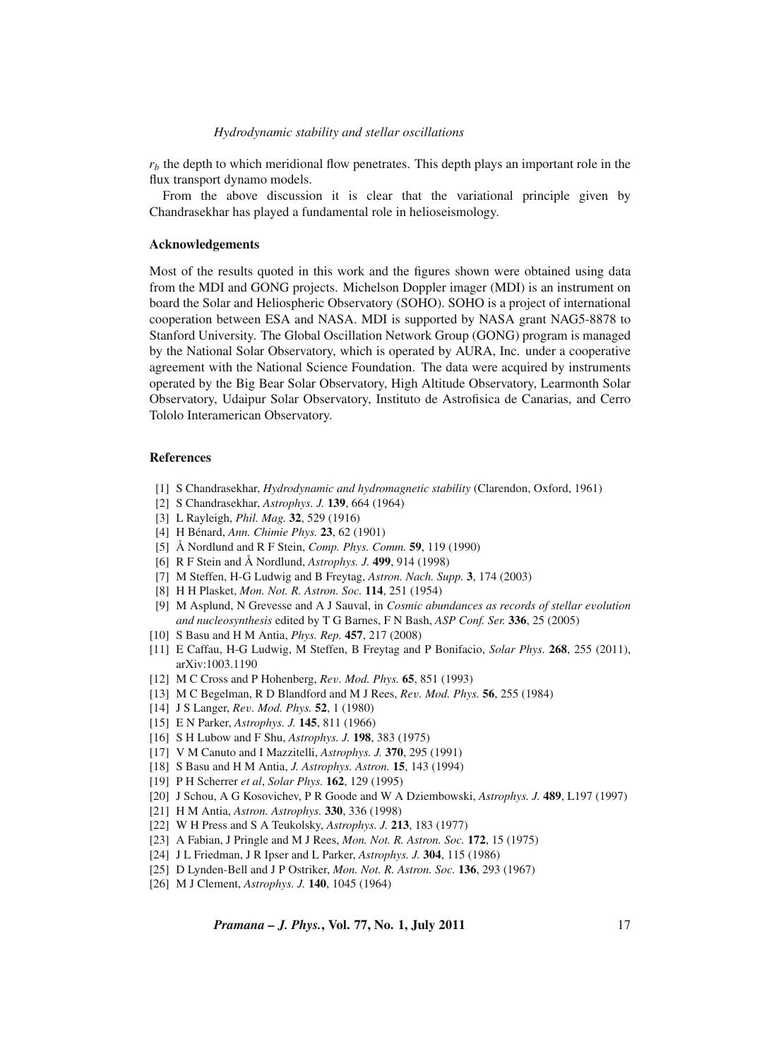$r<sub>b</sub>$  the depth to which meridional flow penetrates. This depth plays an important role in the flux transport dynamo models.

From the above discussion it is clear that the variational principle given by Chandrasekhar has played a fundamental role in helioseismology.

## **Acknowledgements**

Most of the results quoted in this work and the figures shown were obtained using data from the MDI and GONG projects. Michelson Doppler imager (MDI) is an instrument on board the Solar and Heliospheric Observatory (SOHO). SOHO is a project of international cooperation between ESA and NASA. MDI is supported by NASA grant NAG5-8878 to Stanford University. The Global Oscillation Network Group (GONG) program is managed by the National Solar Observatory, which is operated by AURA, Inc. under a cooperative agreement with the National Science Foundation. The data were acquired by instruments operated by the Big Bear Solar Observatory, High Altitude Observatory, Learmonth Solar Observatory, Udaipur Solar Observatory, Instituto de Astrofisica de Canarias, and Cerro Tololo Interamerican Observatory.

#### **References**

- [1] S Chandrasekhar, *Hydrodynamic and hydromagnetic stability* (Clarendon, Oxford, 1961)
- [2] S Chandrasekhar, *Astrophys. J.* **139**, 664 (1964)
- [3] L Rayleigh, *Phil. Mag.* **32**, 529 (1916)
- [4] H Bénard, *Ann. Chimie Phys.* **23**, 62 (1901)
- [5] Å Nordlund and R F Stein, *Comp. Phys. Comm.* **59**, 119 (1990)
- [6] R F Stein and Å Nordlund, *Astrophys. J.* **499**, 914 (1998)
- [7] M Steffen, H-G Ludwig and B Freytag, *Astron. Nach. Supp.* **3**, 174 (2003)
- [8] H H Plasket, *Mon. Not. R. Astron. Soc.* **114**, 251 (1954)
- [9] M Asplund, N Grevesse and A J Sauval, in *Cosmic abundances as records of stellar e*v*olution and nucleosynthesis* edited by T G Barnes, F N Bash, *ASP Conf. Ser.* **336**, 25 (2005)
- [10] S Basu and H M Antia, *Phys. Rep.* **457**, 217 (2008)
- [11] E Caffau, H-G Ludwig, M Steffen, B Freytag and P Bonifacio, *Solar Phys.* **268**, 255 (2011), arXiv:1003.1190
- [12] M C Cross and P Hohenberg, *Re*v*. Mod. Phys.* **65**, 851 (1993)
- [13] M C Begelman, R D Blandford and M J Rees, *Re*v*. Mod. Phys.* **56**, 255 (1984)
- [14] J S Langer, *Re*v*. Mod. Phys.* **52**, 1 (1980)
- [15] E N Parker, *Astrophys. J.* **145**, 811 (1966)
- [16] S H Lubow and F Shu, *Astrophys. J.* **198**, 383 (1975)
- [17] V M Canuto and I Mazzitelli, *Astrophys. J.* **370**, 295 (1991)
- [18] S Basu and H M Antia, *J. Astrophys. Astron.* **15**, 143 (1994)
- [19] P H Scherrer *et al*, *Solar Phys.* **162**, 129 (1995)
- [20] J Schou, A G Kosovichev, P R Goode and W A Dziembowski, *Astrophys. J.* **489**, L197 (1997)
- [21] H M Antia, *Astron. Astrophys.* **330**, 336 (1998)
- [22] W H Press and S A Teukolsky, *Astrophys. J.* **213**, 183 (1977)
- [23] A Fabian, J Pringle and M J Rees, *Mon. Not. R. Astron. Soc.* **172**, 15 (1975)
- [24] J L Friedman, J R Ipser and L Parker, *Astrophys. J.* **304**, 115 (1986)
- [25] D Lynden-Bell and J P Ostriker, *Mon. Not. R. Astron. Soc.* **136**, 293 (1967)
- [26] M J Clement, *Astrophys. J.* **140**, 1045 (1964)